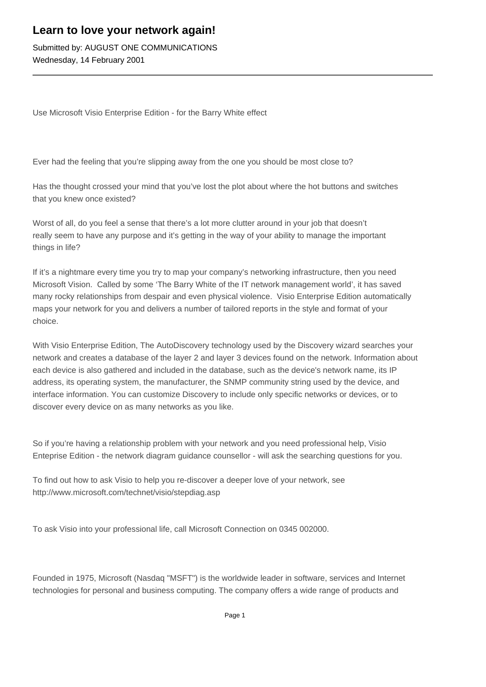## **Learn to love your network again!**

Submitted by: AUGUST ONE COMMUNICATIONS Wednesday, 14 February 2001

Use Microsoft Visio Enterprise Edition - for the Barry White effect

Ever had the feeling that you're slipping away from the one you should be most close to?

Has the thought crossed your mind that you've lost the plot about where the hot buttons and switches that you knew once existed?

Worst of all, do you feel a sense that there's a lot more clutter around in your job that doesn't really seem to have any purpose and it's getting in the way of your ability to manage the important things in life?

If it's a nightmare every time you try to map your company's networking infrastructure, then you need Microsoft Vision. Called by some 'The Barry White of the IT network management world', it has saved many rocky relationships from despair and even physical violence. Visio Enterprise Edition automatically maps your network for you and delivers a number of tailored reports in the style and format of your choice.

With Visio Enterprise Edition, The AutoDiscovery technology used by the Discovery wizard searches your network and creates a database of the layer 2 and layer 3 devices found on the network. Information about each device is also gathered and included in the database, such as the device's network name, its IP address, its operating system, the manufacturer, the SNMP community string used by the device, and interface information. You can customize Discovery to include only specific networks or devices, or to discover every device on as many networks as you like.

So if you're having a relationship problem with your network and you need professional help, Visio Enteprise Edition - the network diagram guidance counsellor - will ask the searching questions for you.

To find out how to ask Visio to help you re-discover a deeper love of your network, see http://www.microsoft.com/technet/visio/stepdiag.asp

To ask Visio into your professional life, call Microsoft Connection on 0345 002000.

Founded in 1975, Microsoft (Nasdaq "MSFT") is the worldwide leader in software, services and Internet technologies for personal and business computing. The company offers a wide range of products and